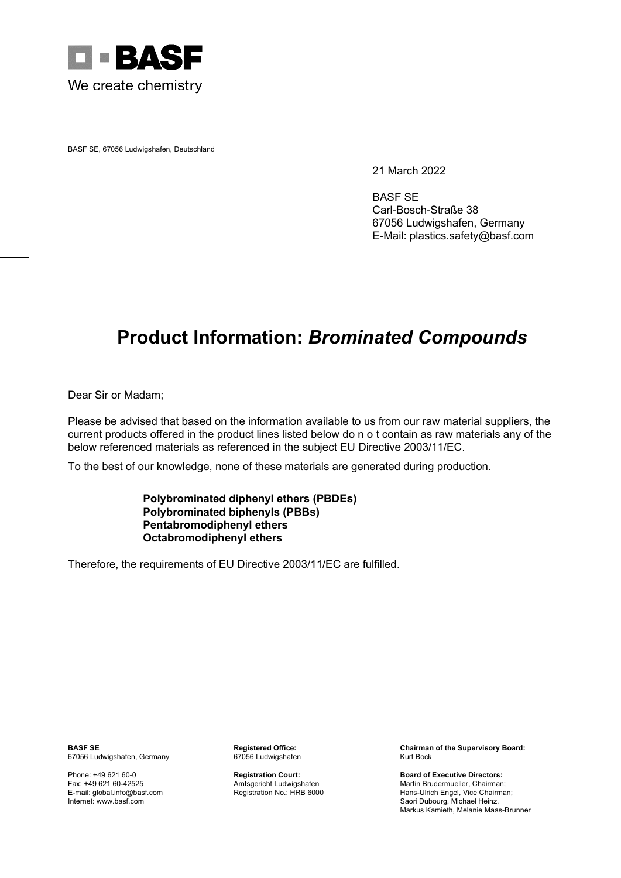

BASF SE, 67056 Ludwigshafen, Deutschland

21 March 2022

BASF SE Carl-Bosch-Straße 38 67056 Ludwigshafen, Germany E-Mail: plastics.safety@basf.com

## **Product Information:** *Brominated Compounds*

Dear Sir or Madam;

Please be advised that based on the information available to us from our raw material suppliers, the current products offered in the product lines listed below do n o t contain as raw materials any of the below referenced materials as referenced in the subject EU Directive 2003/11/EC.

To the best of our knowledge, none of these materials are generated during production.

## **Polybrominated diphenyl ethers (PBDEs) Polybrominated biphenyls (PBBs) Pentabromodiphenyl ethers Octabromodiphenyl ethers**

Therefore, the requirements of EU Directive 2003/11/EC are fulfilled.

67056 Ludwigshafen, Germany

**BASF SE Registered Office: Chairman of the Supervisory Board: Registered Office: Chairman of the Supervisory Board:** 67056 Ludwigshafen **Chairman of the Supervisory Board:** 67056 Ludwigshafen

Phone: +49 621 60-0 **Registration Court: Board of Executive Directors:** Fax: +49 621 60-42525 Amtsgericht Ludwigshafen Martin Brudermueller, Chairman; E-mail: global.info@basf.com Registration No.: HRB 6000 Hans-Ulrich Engel, Vice Chairman; Saori Dubourg, Michael Heinz, Markus Kamieth, Melanie Maas-Brunner